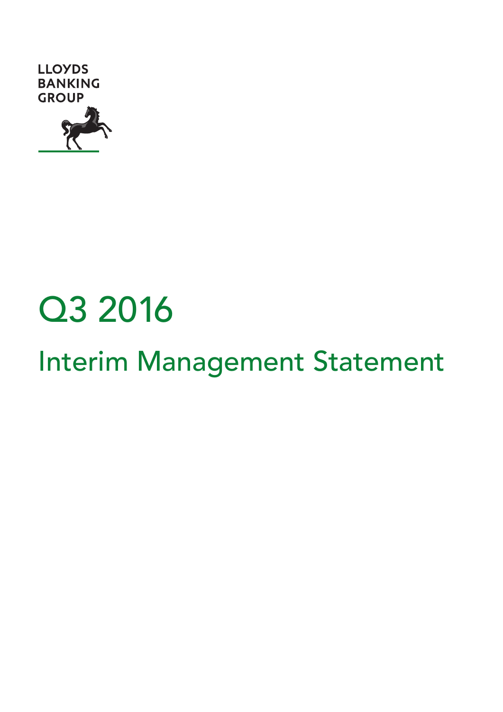

# Q3 2016

# Interim Management Statement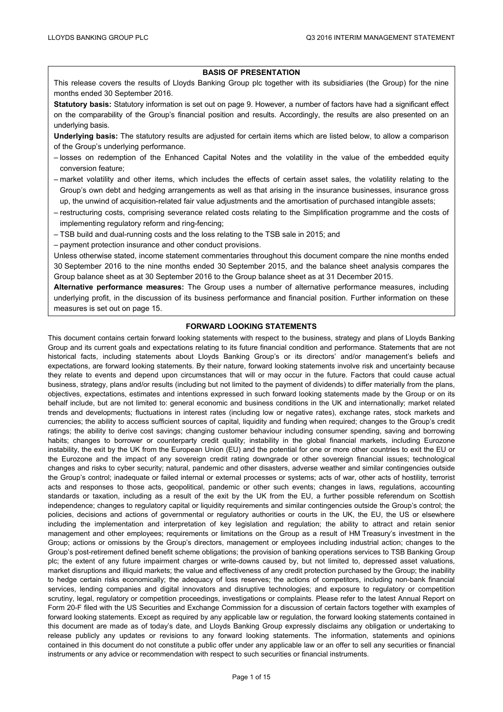#### **BASIS OF PRESENTATION**

This release covers the results of Lloyds Banking Group plc together with its subsidiaries (the Group) for the nine months ended 30 September 2016.

**Statutory basis:** Statutory information is set out on page 9. However, a number of factors have had a significant effect on the comparability of the Group's financial position and results. Accordingly, the results are also presented on an underlying basis.

**Underlying basis:** The statutory results are adjusted for certain items which are listed below, to allow a comparison of the Group's underlying performance.

- losses on redemption of the Enhanced Capital Notes and the volatility in the value of the embedded equity conversion feature;
- market volatility and other items, which includes the effects of certain asset sales, the volatility relating to the Group's own debt and hedging arrangements as well as that arising in the insurance businesses, insurance gross up, the unwind of acquisition-related fair value adjustments and the amortisation of purchased intangible assets;
- restructuring costs, comprising severance related costs relating to the Simplification programme and the costs of implementing regulatory reform and ring-fencing;
- TSB build and dual-running costs and the loss relating to the TSB sale in 2015; and
- payment protection insurance and other conduct provisions.

Unless otherwise stated, income statement commentaries throughout this document compare the nine months ended 30 September 2016 to the nine months ended 30 September 2015, and the balance sheet analysis compares the Group balance sheet as at 30 September 2016 to the Group balance sheet as at 31 December 2015.

**Alternative performance measures:** The Group uses a number of alternative performance measures, including underlying profit, in the discussion of its business performance and financial position. Further information on these measures is set out on page 15.

#### **FORWARD LOOKING STATEMENTS**

This document contains certain forward looking statements with respect to the business, strategy and plans of Lloyds Banking Group and its current goals and expectations relating to its future financial condition and performance. Statements that are not historical facts, including statements about Lloyds Banking Group's or its directors' and/or management's beliefs and expectations, are forward looking statements. By their nature, forward looking statements involve risk and uncertainty because they relate to events and depend upon circumstances that will or may occur in the future. Factors that could cause actual business, strategy, plans and/or results (including but not limited to the payment of dividends) to differ materially from the plans, objectives, expectations, estimates and intentions expressed in such forward looking statements made by the Group or on its behalf include, but are not limited to: general economic and business conditions in the UK and internationally; market related trends and developments; fluctuations in interest rates (including low or negative rates), exchange rates, stock markets and currencies; the ability to access sufficient sources of capital, liquidity and funding when required; changes to the Group's credit ratings; the ability to derive cost savings; changing customer behaviour including consumer spending, saving and borrowing habits; changes to borrower or counterparty credit quality; instability in the global financial markets, including Eurozone instability, the exit by the UK from the European Union (EU) and the potential for one or more other countries to exit the EU or the Eurozone and the impact of any sovereign credit rating downgrade or other sovereign financial issues; technological changes and risks to cyber security; natural, pandemic and other disasters, adverse weather and similar contingencies outside the Group's control; inadequate or failed internal or external processes or systems; acts of war, other acts of hostility, terrorist acts and responses to those acts, geopolitical, pandemic or other such events; changes in laws, regulations, accounting standards or taxation, including as a result of the exit by the UK from the EU, a further possible referendum on Scottish independence; changes to regulatory capital or liquidity requirements and similar contingencies outside the Group's control; the policies, decisions and actions of governmental or regulatory authorities or courts in the UK, the EU, the US or elsewhere including the implementation and interpretation of key legislation and regulation; the ability to attract and retain senior management and other employees; requirements or limitations on the Group as a result of HM Treasury's investment in the Group; actions or omissions by the Group's directors, management or employees including industrial action; changes to the Group's post-retirement defined benefit scheme obligations; the provision of banking operations services to TSB Banking Group plc; the extent of any future impairment charges or write-downs caused by, but not limited to, depressed asset valuations, market disruptions and illiquid markets; the value and effectiveness of any credit protection purchased by the Group; the inability to hedge certain risks economically; the adequacy of loss reserves; the actions of competitors, including non-bank financial services, lending companies and digital innovators and disruptive technologies; and exposure to regulatory or competition scrutiny, legal, regulatory or competition proceedings, investigations or complaints. Please refer to the latest Annual Report on Form 20-F filed with the US Securities and Exchange Commission for a discussion of certain factors together with examples of forward looking statements. Except as required by any applicable law or regulation, the forward looking statements contained in this document are made as of today's date, and Lloyds Banking Group expressly disclaims any obligation or undertaking to release publicly any updates or revisions to any forward looking statements. The information, statements and opinions contained in this document do not constitute a public offer under any applicable law or an offer to sell any securities or financial instruments or any advice or recommendation with respect to such securities or financial instruments.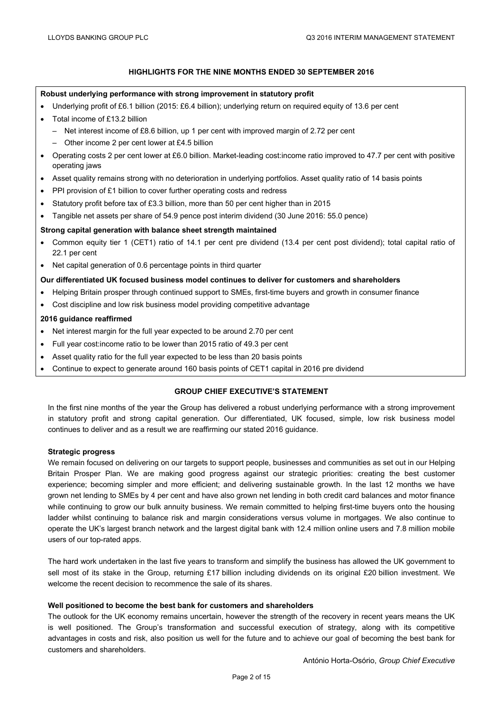### **HIGHLIGHTS FOR THE NINE MONTHS ENDED 30 SEPTEMBER 2016**

#### **Robust underlying performance with strong improvement in statutory profit**

- Underlying profit of £6.1 billion (2015: £6.4 billion); underlying return on required equity of 13.6 per cent
- Total income of £13.2 billion
	- Net interest income of £8.6 billion, up 1 per cent with improved margin of 2.72 per cent
	- Other income 2 per cent lower at £4.5 billion
- Operating costs 2 per cent lower at £6.0 billion. Market-leading cost:income ratio improved to 47.7 per cent with positive operating jaws
- Asset quality remains strong with no deterioration in underlying portfolios. Asset quality ratio of 14 basis points
- PPI provision of £1 billion to cover further operating costs and redress
- Statutory profit before tax of £3.3 billion, more than 50 per cent higher than in 2015
- Tangible net assets per share of 54.9 pence post interim dividend (30 June 2016: 55.0 pence)

#### **Strong capital generation with balance sheet strength maintained**

- Common equity tier 1 (CET1) ratio of 14.1 per cent pre dividend (13.4 per cent post dividend); total capital ratio of 22.1 per cent
- Net capital generation of 0.6 percentage points in third quarter
- **Our differentiated UK focused business model continues to deliver for customers and shareholders**
- Helping Britain prosper through continued support to SMEs, first-time buyers and growth in consumer finance
- Cost discipline and low risk business model providing competitive advantage

#### **2016 guidance reaffirmed**

- Net interest margin for the full year expected to be around 2.70 per cent
- Full year cost:income ratio to be lower than 2015 ratio of 49.3 per cent
- Asset quality ratio for the full year expected to be less than 20 basis points
- Continue to expect to generate around 160 basis points of CET1 capital in 2016 pre dividend

#### **GROUP CHIEF EXECUTIVE'S STATEMENT**

In the first nine months of the year the Group has delivered a robust underlying performance with a strong improvement in statutory profit and strong capital generation. Our differentiated, UK focused, simple, low risk business model continues to deliver and as a result we are reaffirming our stated 2016 guidance.

#### **Strategic progress**

We remain focused on delivering on our targets to support people, businesses and communities as set out in our Helping Britain Prosper Plan. We are making good progress against our strategic priorities: creating the best customer experience; becoming simpler and more efficient; and delivering sustainable growth. In the last 12 months we have grown net lending to SMEs by 4 per cent and have also grown net lending in both credit card balances and motor finance while continuing to grow our bulk annuity business. We remain committed to helping first-time buyers onto the housing ladder whilst continuing to balance risk and margin considerations versus volume in mortgages. We also continue to operate the UK's largest branch network and the largest digital bank with 12.4 million online users and 7.8 million mobile users of our top-rated apps.

The hard work undertaken in the last five years to transform and simplify the business has allowed the UK government to sell most of its stake in the Group, returning £17 billion including dividends on its original £20 billion investment. We welcome the recent decision to recommence the sale of its shares.

#### **Well positioned to become the best bank for customers and shareholders**

The outlook for the UK economy remains uncertain, however the strength of the recovery in recent years means the UK is well positioned. The Group's transformation and successful execution of strategy, along with its competitive advantages in costs and risk, also position us well for the future and to achieve our goal of becoming the best bank for customers and shareholders.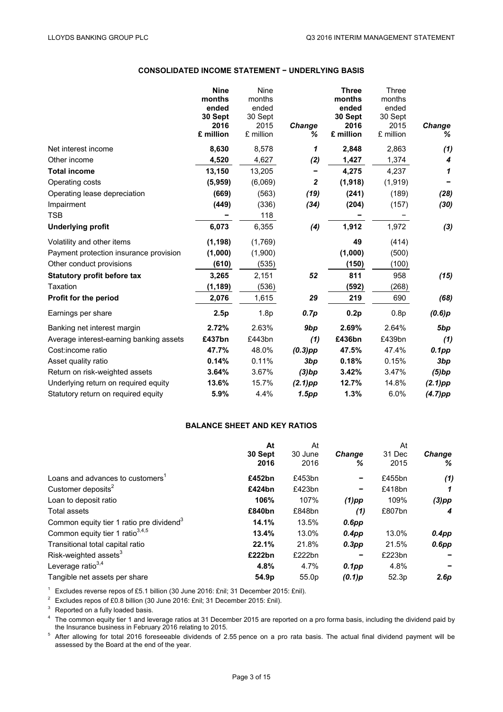# **CONSOLIDATED INCOME STATEMENT − UNDERLYING BASIS**

|                                         | <b>Nine</b><br>months<br>ended<br>30 Sept | Nine<br>months<br>ended<br>30 Sept |                  | <b>Three</b><br>months<br>ended<br>30 Sept | Three<br>months<br>ended<br>30 Sept |                    |
|-----------------------------------------|-------------------------------------------|------------------------------------|------------------|--------------------------------------------|-------------------------------------|--------------------|
|                                         | 2016<br>£ million                         | 2015<br>£ million                  | Change<br>℅      | 2016<br>£ million                          | 2015<br>£ million                   | <b>Change</b><br>℅ |
| Net interest income                     | 8,630                                     | 8,578                              | 1                | 2,848                                      | 2,863                               | (1)                |
| Other income                            | 4,520                                     | 4,627                              | (2)              | 1,427                                      | 1,374                               | 4                  |
| <b>Total income</b>                     | 13,150                                    | 13,205                             |                  | 4,275                                      | 4,237                               | 1                  |
| Operating costs                         | (5,959)                                   | (6,069)                            | $\boldsymbol{2}$ | (1, 918)                                   | (1, 919)                            |                    |
| Operating lease depreciation            | (669)                                     | (563)                              | (19)             | (241)                                      | (189)                               | (28)               |
| Impairment                              | (449)                                     | (336)                              | (34)             | (204)                                      | (157)                               | (30)               |
| <b>TSB</b>                              |                                           | 118                                |                  |                                            |                                     |                    |
| <b>Underlying profit</b>                | 6,073                                     | 6,355                              | (4)              | 1,912                                      | 1,972                               | (3)                |
| Volatility and other items              | (1, 198)                                  | (1,769)                            |                  | 49                                         | (414)                               |                    |
| Payment protection insurance provision  | (1,000)                                   | (1,900)                            |                  | (1,000)                                    | (500)                               |                    |
| Other conduct provisions                | (610)                                     | (535)                              |                  | (150)                                      | (100)                               |                    |
| <b>Statutory profit before tax</b>      | 3,265                                     | 2,151                              | 52               | 811                                        | 958                                 | (15)               |
| Taxation                                | (1, 189)                                  | (536)                              |                  | (592)                                      | (268)                               |                    |
| Profit for the period                   | 2,076                                     | 1,615                              | 29               | 219                                        | 690                                 | (68)               |
| Earnings per share                      | 2.5p                                      | 1.8p                               | 0.7p             | 0.2p                                       | 0.8p                                | (0.6)p             |
| Banking net interest margin             | 2.72%                                     | 2.63%                              | 9bp              | 2.69%                                      | 2.64%                               | 5bp                |
| Average interest-earning banking assets | £437bn                                    | £443bn                             | (1)              | £436bn                                     | £439bn                              | (1)                |
| Cost:income ratio                       | 47.7%                                     | 48.0%                              | $(0.3)$ pp       | 47.5%                                      | 47.4%                               | $0.1$ pp           |
| Asset quality ratio                     | 0.14%                                     | 0.11%                              | 3bp              | 0.18%                                      | 0.15%                               | 3bp                |
| Return on risk-weighted assets          | 3.64%                                     | 3.67%                              | (3)bp            | 3.42%                                      | 3.47%                               | (5)bp              |
| Underlying return on required equity    | 13.6%                                     | 15.7%                              | $(2.1)$ pp       | 12.7%                                      | 14.8%                               | $(2.1)$ pp         |
| Statutory return on required equity     | 5.9%                                      | 4.4%                               | 1.5pp            | 1.3%                                       | 6.0%                                | $(4.7)$ pp         |

#### **BALANCE SHEET AND KEY RATIOS**

|                                                      | At<br>30 Sept<br>2016 | At<br>30 June<br>2016 | <b>Change</b><br>%       | At<br>31 Dec<br>2015 | <b>Change</b><br>℅ |
|------------------------------------------------------|-----------------------|-----------------------|--------------------------|----------------------|--------------------|
| Loans and advances to customers <sup>1</sup>         | £452bn                | £453bn                | -                        | £455bn               | (1)                |
| Customer deposits <sup>2</sup>                       | £424bn                | £423bn                | $\overline{\phantom{a}}$ | £418bn               | 1                  |
| Loan to deposit ratio                                | 106%                  | 107%                  | $(1)$ pp                 | 109%                 | $(3)$ pp           |
| Total assets                                         | £840bn                | £848bn                | (1)                      | £807bn               | 4                  |
| Common equity tier 1 ratio pre dividend <sup>3</sup> | 14.1%                 | 13.5%                 | $0.6$ pp                 |                      |                    |
| Common equity tier 1 ratio $3,4,5$                   | 13.4%                 | 13.0%                 | $0.4$ pp                 | 13.0%                | $0.4$ pp           |
| Transitional total capital ratio                     | 22.1%                 | 21.8%                 | $0.3$ pp                 | 21.5%                | $0.6$ pp           |
| Risk-weighted assets <sup>3</sup>                    | £222bn                | £222bn                |                          | £223bn               |                    |
| Leverage ratio $3,4$                                 | 4.8%                  | 4.7%                  | $0.1$ pp                 | 4.8%                 |                    |
| Tangible net assets per share                        | 54.9 <sub>p</sub>     | 55.0p                 | (0.1)p                   | 52.3p                | 2.6p               |

<sup>1</sup> Excludes reverse repos of £5.1 billion (30 June 2016: £nil; 31 December 2015: £nil).<br><sup>2</sup> Excludes repos of £0.8 billion (30 June 2016: £nil; 31 December 2015: £nil).<br><sup>3</sup> Reported on a fully loaded basis.<br><sup>4</sup> The commo

the Insurance business in February 2016 of 2016 relationships of 2.55 pence on a pro rata basis. The actual final dividend payment will be assessed by the Board at the end of the year.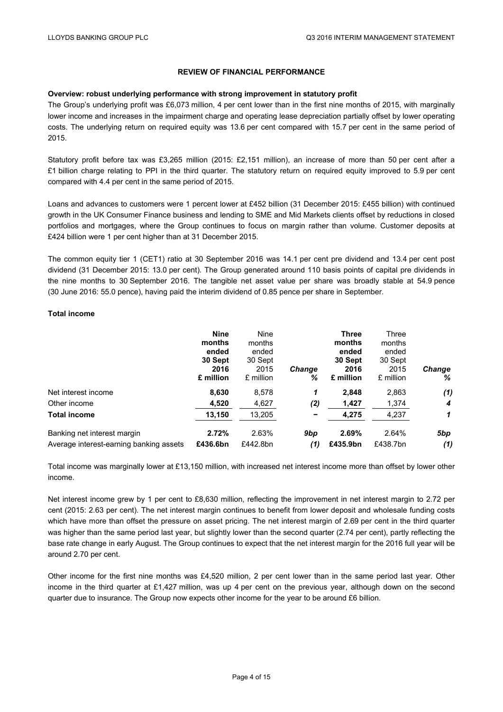#### **REVIEW OF FINANCIAL PERFORMANCE**

#### **Overview: robust underlying performance with strong improvement in statutory profit**

The Group's underlying profit was £6,073 million, 4 per cent lower than in the first nine months of 2015, with marginally lower income and increases in the impairment charge and operating lease depreciation partially offset by lower operating costs. The underlying return on required equity was 13.6 per cent compared with 15.7 per cent in the same period of 2015.

Statutory profit before tax was £3,265 million (2015: £2,151 million), an increase of more than 50 per cent after a £1 billion charge relating to PPI in the third quarter. The statutory return on required equity improved to 5.9 per cent compared with 4.4 per cent in the same period of 2015.

Loans and advances to customers were 1 percent lower at £452 billion (31 December 2015: £455 billion) with continued growth in the UK Consumer Finance business and lending to SME and Mid Markets clients offset by reductions in closed portfolios and mortgages, where the Group continues to focus on margin rather than volume. Customer deposits at £424 billion were 1 per cent higher than at 31 December 2015.

The common equity tier 1 (CET1) ratio at 30 September 2016 was 14.1 per cent pre dividend and 13.4 per cent post dividend (31 December 2015: 13.0 per cent). The Group generated around 110 basis points of capital pre dividends in the nine months to 30 September 2016. The tangible net asset value per share was broadly stable at 54.9 pence (30 June 2016: 55.0 pence), having paid the interim dividend of 0.85 pence per share in September.

#### **Total income**

|                                         | <b>Nine</b><br>months<br>ended<br>30 Sept<br>2016<br>£ million | Nine<br>months<br>ended<br>30 Sept<br>2015<br>£ million | <b>Change</b><br>% | <b>Three</b><br>months<br>ended<br>30 Sept<br>2016<br>£ million | Three<br>months<br>ended<br>30 Sept<br>2015<br>£ million | <b>Change</b><br>℅ |
|-----------------------------------------|----------------------------------------------------------------|---------------------------------------------------------|--------------------|-----------------------------------------------------------------|----------------------------------------------------------|--------------------|
| Net interest income                     | 8,630                                                          | 8,578                                                   | 1                  | 2,848                                                           | 2,863                                                    | (1)                |
| Other income                            | 4,520                                                          | 4,627                                                   | (2)                | 1,427                                                           | 1,374                                                    | 4                  |
| <b>Total income</b>                     | 13,150                                                         | 13,205                                                  |                    | 4,275                                                           | 4,237                                                    | 1                  |
| Banking net interest margin             | 2.72%                                                          | 2.63%                                                   | 9bp                | 2.69%                                                           | 2.64%                                                    | 5bp                |
| Average interest-earning banking assets | £436.6bn                                                       | £442.8bn                                                | (1)                | £435.9bn                                                        | £438.7bn                                                 | (1)                |

Total income was marginally lower at £13,150 million, with increased net interest income more than offset by lower other income.

Net interest income grew by 1 per cent to £8,630 million, reflecting the improvement in net interest margin to 2.72 per cent (2015: 2.63 per cent). The net interest margin continues to benefit from lower deposit and wholesale funding costs which have more than offset the pressure on asset pricing. The net interest margin of 2.69 per cent in the third quarter was higher than the same period last year, but slightly lower than the second quarter (2.74 per cent), partly reflecting the base rate change in early August. The Group continues to expect that the net interest margin for the 2016 full year will be around 2.70 per cent.

Other income for the first nine months was £4,520 million, 2 per cent lower than in the same period last year. Other income in the third quarter at £1,427 million, was up 4 per cent on the previous year, although down on the second quarter due to insurance. The Group now expects other income for the year to be around £6 billion.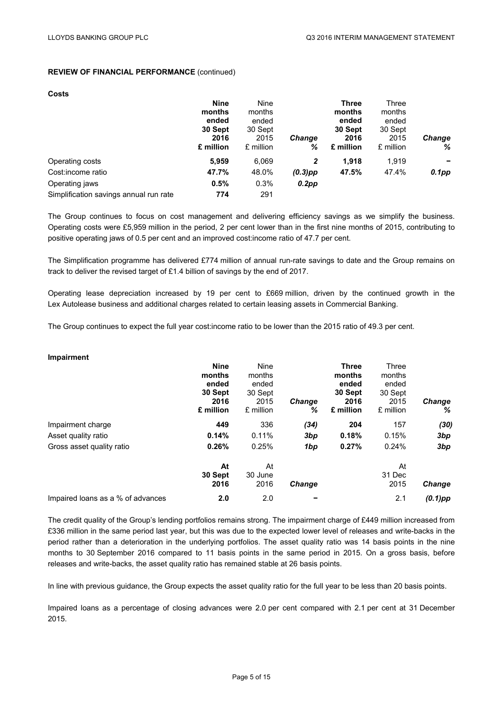#### **Costs**

|                                        | <b>Nine</b><br>months<br>ended<br>30 Sept<br>2016<br>£ million | <b>Nine</b><br>months<br>ended<br>30 Sept<br>2015<br>£ million | <b>Change</b><br>℅ | <b>Three</b><br>months<br>ended<br>30 Sept<br>2016<br>£ million | Three<br>months<br>ended<br>30 Sept<br>2015<br>£ million | Change<br>℅ |
|----------------------------------------|----------------------------------------------------------------|----------------------------------------------------------------|--------------------|-----------------------------------------------------------------|----------------------------------------------------------|-------------|
| Operating costs                        | 5,959                                                          | 6,069                                                          |                    | 1.918                                                           | 1,919                                                    |             |
| Cost:income ratio                      | 47.7%                                                          | 48.0%                                                          | $(0.3)$ pp         | 47.5%                                                           | 47.4%                                                    | 0.1pp       |
| Operating jaws                         | 0.5%                                                           | 0.3%                                                           | $0.2$ pp           |                                                                 |                                                          |             |
| Simplification savings annual run rate | 774                                                            | 291                                                            |                    |                                                                 |                                                          |             |

The Group continues to focus on cost management and delivering efficiency savings as we simplify the business. Operating costs were £5,959 million in the period, 2 per cent lower than in the first nine months of 2015, contributing to positive operating jaws of 0.5 per cent and an improved cost:income ratio of 47.7 per cent.

The Simplification programme has delivered £774 million of annual run-rate savings to date and the Group remains on track to deliver the revised target of £1.4 billion of savings by the end of 2017.

Operating lease depreciation increased by 19 per cent to £669 million, driven by the continued growth in the Lex Autolease business and additional charges related to certain leasing assets in Commercial Banking.

The Group continues to expect the full year cost:income ratio to be lower than the 2015 ratio of 49.3 per cent.

#### **Impairment**

|                                   | <b>Nine</b><br>months<br>ended<br>30 Sept<br>2016<br>£ million | Nine<br>months<br>ended<br>30 Sept<br>2015<br>£ million | <b>Change</b><br>℅ | <b>Three</b><br>months<br>ended<br>30 Sept<br>2016<br>£ million | Three<br>months<br>ended<br>30 Sept<br>2015<br>£ million | <b>Change</b><br>% |
|-----------------------------------|----------------------------------------------------------------|---------------------------------------------------------|--------------------|-----------------------------------------------------------------|----------------------------------------------------------|--------------------|
| Impairment charge                 | 449                                                            | 336                                                     | (34)               | 204                                                             | 157                                                      | (30)               |
| Asset quality ratio               | 0.14%                                                          | 0.11%                                                   | 3bp                | 0.18%                                                           | 0.15%                                                    | 3bp                |
| Gross asset quality ratio         | 0.26%                                                          | 0.25%                                                   | 1bp                | 0.27%                                                           | 0.24%                                                    | 3bp                |
|                                   | At<br>30 Sept<br>2016                                          | At<br>30 June<br>2016                                   | <b>Change</b>      |                                                                 | At<br>31 Dec<br>2015                                     | <b>Change</b>      |
| Impaired loans as a % of advances | 2.0                                                            | 2.0                                                     |                    |                                                                 | 2.1                                                      | $(0.1)$ pp         |

The credit quality of the Group's lending portfolios remains strong. The impairment charge of £449 million increased from £336 million in the same period last year, but this was due to the expected lower level of releases and write-backs in the period rather than a deterioration in the underlying portfolios. The asset quality ratio was 14 basis points in the nine months to 30 September 2016 compared to 11 basis points in the same period in 2015. On a gross basis, before releases and write-backs, the asset quality ratio has remained stable at 26 basis points.

In line with previous guidance, the Group expects the asset quality ratio for the full year to be less than 20 basis points.

Impaired loans as a percentage of closing advances were 2.0 per cent compared with 2.1 per cent at 31 December 2015.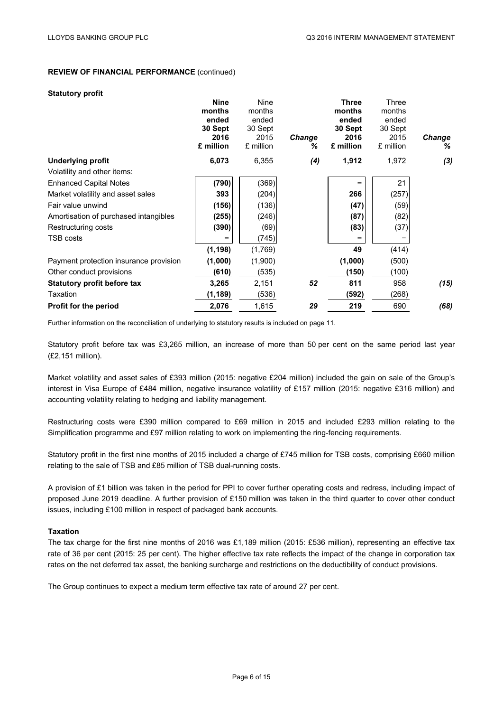#### **Statutory profit**

|                                        | <b>Nine</b><br>months<br>ended<br>30 Sept<br>2016<br>£ million | Nine<br>months<br>ended<br>30 Sept<br>2015<br>£ million | <b>Change</b><br>℅ | <b>Three</b><br>months<br>ended<br>30 Sept<br>2016<br>£ million | Three<br>months<br>ended<br>30 Sept<br>2015<br>£ million | <b>Change</b><br>% |
|----------------------------------------|----------------------------------------------------------------|---------------------------------------------------------|--------------------|-----------------------------------------------------------------|----------------------------------------------------------|--------------------|
| <b>Underlying profit</b>               | 6,073                                                          | 6,355                                                   | (4)                | 1,912                                                           | 1,972                                                    | $(3)$              |
| Volatility and other items:            |                                                                |                                                         |                    |                                                                 |                                                          |                    |
| <b>Enhanced Capital Notes</b>          | (790)                                                          | (369)                                                   |                    |                                                                 | 21                                                       |                    |
| Market volatility and asset sales      | 393                                                            | (204)                                                   |                    | 266                                                             | (257)                                                    |                    |
| Fair value unwind                      | (156)                                                          | (136)                                                   |                    | (47)                                                            | (59)                                                     |                    |
| Amortisation of purchased intangibles  | (255)                                                          | (246)                                                   |                    | (87)                                                            | (82)                                                     |                    |
| Restructuring costs                    | (390)                                                          | (69)                                                    |                    | (83)                                                            | (37)                                                     |                    |
| TSB costs                              |                                                                | (745)                                                   |                    |                                                                 |                                                          |                    |
|                                        | (1, 198)                                                       | (1,769)                                                 |                    | 49                                                              | (414)                                                    |                    |
| Payment protection insurance provision | (1,000)                                                        | (1,900)                                                 |                    | (1,000)                                                         | (500)                                                    |                    |
| Other conduct provisions               | (610)                                                          | (535)                                                   |                    | (150)                                                           | (100)                                                    |                    |
| Statutory profit before tax            | 3,265                                                          | 2,151                                                   | 52                 | 811                                                             | 958                                                      | (15)               |
| Taxation                               | (1,189)                                                        | (536)                                                   |                    | (592)                                                           | (268)                                                    |                    |
| Profit for the period                  | 2,076                                                          | 1,615                                                   | 29                 | 219                                                             | 690                                                      | (68)               |
|                                        |                                                                |                                                         |                    |                                                                 |                                                          |                    |

Further information on the reconciliation of underlying to statutory results is included on page 11.

Statutory profit before tax was £3,265 million, an increase of more than 50 per cent on the same period last year (£2,151 million).

Market volatility and asset sales of £393 million (2015: negative £204 million) included the gain on sale of the Group's interest in Visa Europe of £484 million, negative insurance volatility of £157 million (2015: negative £316 million) and accounting volatility relating to hedging and liability management.

Restructuring costs were £390 million compared to £69 million in 2015 and included £293 million relating to the Simplification programme and £97 million relating to work on implementing the ring-fencing requirements.

Statutory profit in the first nine months of 2015 included a charge of £745 million for TSB costs, comprising £660 million relating to the sale of TSB and £85 million of TSB dual-running costs.

A provision of £1 billion was taken in the period for PPI to cover further operating costs and redress, including impact of proposed June 2019 deadline. A further provision of £150 million was taken in the third quarter to cover other conduct issues, including £100 million in respect of packaged bank accounts.

#### **Taxation**

The tax charge for the first nine months of 2016 was £1,189 million (2015: £536 million), representing an effective tax rate of 36 per cent (2015: 25 per cent). The higher effective tax rate reflects the impact of the change in corporation tax rates on the net deferred tax asset, the banking surcharge and restrictions on the deductibility of conduct provisions.

The Group continues to expect a medium term effective tax rate of around 27 per cent.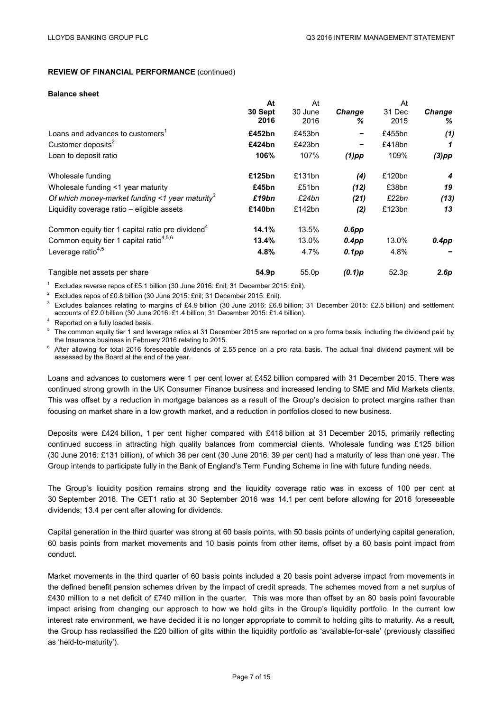#### **Balance sheet**

|                                                              | At                | At                |                          | At             |             |
|--------------------------------------------------------------|-------------------|-------------------|--------------------------|----------------|-------------|
|                                                              | 30 Sept<br>2016   | 30 June<br>2016   | Change<br>%              | 31 Dec<br>2015 | Change<br>℅ |
| Loans and advances to customers <sup>1</sup>                 | £452bn            | £453bn            | -                        | £455bn         | (1)         |
| Customer deposits <sup>2</sup>                               | £424bn            | £423bn            | $\overline{\phantom{0}}$ | £418bn         |             |
| Loan to deposit ratio                                        | 106%              | 107%              | $(1)$ pp                 | 109%           | $(3)$ pp    |
| Wholesale funding                                            | £125bn            | £131 $bn$         | (4)                      | £120bn         | 4           |
| Wholesale funding <1 year maturity                           | £45bn             | £51bn             | (12)                     | £38bn          | 19          |
| Of which money-market funding <1 year maturity <sup>3</sup>  | £19bn             | £24bn             | (21)                     | £22bn          | (13)        |
| Liquidity coverage ratio - eligible assets                   | £140bn            | £142bn            | (2)                      | £123bn         | 13          |
| Common equity tier 1 capital ratio pre dividend <sup>4</sup> | 14.1%             | 13.5%             | 0.6pp                    |                |             |
| Common equity tier 1 capital ratio <sup>4,5,6</sup>          | 13.4%             | 13.0%             | $0.4$ pp                 | 13.0%          | 0.4pp       |
| Leverage ratio $4,5$                                         | 4.8%              | 4.7%              | $0.1$ pp                 | 4.8%           |             |
| Tangible net assets per share                                | 54.9 <sub>p</sub> | 55.0 <sub>p</sub> | (0.1)p                   | 52.3p          | 2.6p        |

<sup>1</sup> Excludes reverse repos of £5.1 billion (30 June 2016: £nil; 31 December 2015: £nil).<br>
<sup>2</sup> Excludes repos of £0.8 billion (30 June 2015: £nil; 31 December 2015: £nil).<br>
<sup>3</sup> Excludes balances relating to margins of £4.9

4 Reported on a fully loaded basis.<br><sup>5</sup> The common equity tier 1 and leverage ratios at 31 December 2015 are reported on a pro forma basis, including the dividend paid by<br>the Insurance business in February 2016 relating to

 $6$  After allowing for total 2016 foreseeable dividends of 2.55 pence on a pro rata basis. The actual final dividend payment will be assessed by the Board at the end of the year.

Loans and advances to customers were 1 per cent lower at £452 billion compared with 31 December 2015. There was continued strong growth in the UK Consumer Finance business and increased lending to SME and Mid Markets clients. This was offset by a reduction in mortgage balances as a result of the Group's decision to protect margins rather than focusing on market share in a low growth market, and a reduction in portfolios closed to new business.

Deposits were £424 billion, 1 per cent higher compared with £418 billion at 31 December 2015, primarily reflecting continued success in attracting high quality balances from commercial clients. Wholesale funding was £125 billion (30 June 2016: £131 billion), of which 36 per cent (30 June 2016: 39 per cent) had a maturity of less than one year. The Group intends to participate fully in the Bank of England's Term Funding Scheme in line with future funding needs.

The Group's liquidity position remains strong and the liquidity coverage ratio was in excess of 100 per cent at 30 September 2016. The CET1 ratio at 30 September 2016 was 14.1 per cent before allowing for 2016 foreseeable dividends; 13.4 per cent after allowing for dividends.

Capital generation in the third quarter was strong at 60 basis points, with 50 basis points of underlying capital generation, 60 basis points from market movements and 10 basis points from other items, offset by a 60 basis point impact from conduct.

Market movements in the third quarter of 60 basis points included a 20 basis point adverse impact from movements in the defined benefit pension schemes driven by the impact of credit spreads. The schemes moved from a net surplus of £430 million to a net deficit of £740 million in the quarter. This was more than offset by an 80 basis point favourable impact arising from changing our approach to how we hold gilts in the Group's liquidity portfolio. In the current low interest rate environment, we have decided it is no longer appropriate to commit to holding gilts to maturity. As a result, the Group has reclassified the £20 billion of gilts within the liquidity portfolio as 'available-for-sale' (previously classified as 'held-to-maturity').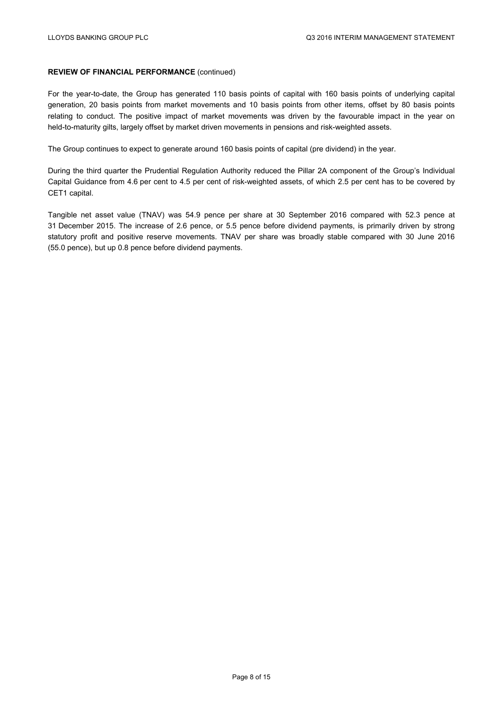For the year-to-date, the Group has generated 110 basis points of capital with 160 basis points of underlying capital generation, 20 basis points from market movements and 10 basis points from other items, offset by 80 basis points relating to conduct. The positive impact of market movements was driven by the favourable impact in the year on held-to-maturity gilts, largely offset by market driven movements in pensions and risk-weighted assets.

The Group continues to expect to generate around 160 basis points of capital (pre dividend) in the year.

During the third quarter the Prudential Regulation Authority reduced the Pillar 2A component of the Group's Individual Capital Guidance from 4.6 per cent to 4.5 per cent of risk-weighted assets, of which 2.5 per cent has to be covered by CET1 capital.

Tangible net asset value (TNAV) was 54.9 pence per share at 30 September 2016 compared with 52.3 pence at 31 December 2015. The increase of 2.6 pence, or 5.5 pence before dividend payments, is primarily driven by strong statutory profit and positive reserve movements. TNAV per share was broadly stable compared with 30 June 2016 (55.0 pence), but up 0.8 pence before dividend payments.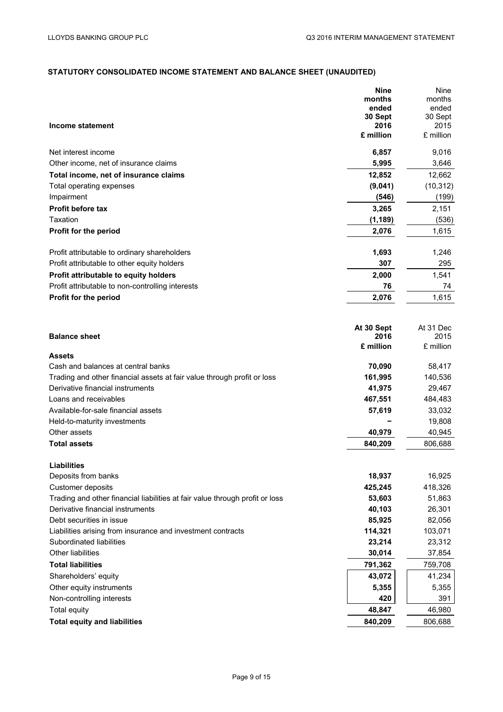# **STATUTORY CONSOLIDATED INCOME STATEMENT AND BALANCE SHEET (UNAUDITED)**

| ended<br>ended<br>30 Sept<br>30 Sept<br>2016<br><b>Income statement</b><br>2015<br>£ million<br>£ million<br>Net interest income<br>6,857<br>9,016<br>Other income, net of insurance claims<br>5,995<br>3,646<br>12,662<br>Total income, net of insurance claims<br>12,852<br>Total operating expenses<br>(9,041)<br>(10, 312)<br>Impairment<br>(199)<br>(546)<br><b>Profit before tax</b><br>2,151<br>3,265<br>(536)<br>Taxation<br>(1, 189)<br>Profit for the period<br>2,076<br>1,615<br>1,693<br>1,246<br>Profit attributable to ordinary shareholders<br>307<br>295<br>Profit attributable to other equity holders<br>Profit attributable to equity holders<br>2,000<br>1,541<br>76<br>Profit attributable to non-controlling interests<br>74<br>1,615<br>Profit for the period<br>2,076<br>At 31 Dec<br>At 30 Sept<br>2016<br><b>Balance sheet</b><br>2015<br>£ million<br>£ million<br>Assets<br>Cash and balances at central banks<br>70,090<br>58,417<br>Trading and other financial assets at fair value through profit or loss<br>161,995<br>140,536<br>Derivative financial instruments<br>41,975<br>29,467<br>Loans and receivables<br>467,551<br>484,483<br>Available-for-sale financial assets<br>57,619<br>33,032<br>19,808<br>Held-to-maturity investments<br>Other assets<br>40,979<br>40,945<br><b>Total assets</b><br>840,209<br>806,688<br>Liabilities<br>18,937<br>16,925<br>Deposits from banks<br>425,245<br>Customer deposits<br>418,326<br>Trading and other financial liabilities at fair value through profit or loss<br>53,603<br>51,863<br>Derivative financial instruments<br>40,103<br>26,301<br>Debt securities in issue<br>85,925<br>82,056<br>114,321<br>103,071<br>Liabilities arising from insurance and investment contracts<br>Subordinated liabilities<br>23,214<br>23,312<br>Other liabilities<br>30,014<br>37,854<br><b>Total liabilities</b><br>791,362<br>759,708<br>43,072<br>41,234<br>Shareholders' equity<br>Other equity instruments<br>5,355<br>5,355<br>420<br>Non-controlling interests<br>391<br>48,847<br>46,980<br><b>Total equity</b><br><b>Total equity and liabilities</b><br>840,209<br>806,688 | <b>Nine</b> | <b>Nine</b> |
|------------------------------------------------------------------------------------------------------------------------------------------------------------------------------------------------------------------------------------------------------------------------------------------------------------------------------------------------------------------------------------------------------------------------------------------------------------------------------------------------------------------------------------------------------------------------------------------------------------------------------------------------------------------------------------------------------------------------------------------------------------------------------------------------------------------------------------------------------------------------------------------------------------------------------------------------------------------------------------------------------------------------------------------------------------------------------------------------------------------------------------------------------------------------------------------------------------------------------------------------------------------------------------------------------------------------------------------------------------------------------------------------------------------------------------------------------------------------------------------------------------------------------------------------------------------------------------------------------------------------------------------------------------------------------------------------------------------------------------------------------------------------------------------------------------------------------------------------------------------------------------------------------------------------------------------------------------------------------------------------------------------------------------------------------------------------------------------------------------------------------------------------------------|-------------|-------------|
|                                                                                                                                                                                                                                                                                                                                                                                                                                                                                                                                                                                                                                                                                                                                                                                                                                                                                                                                                                                                                                                                                                                                                                                                                                                                                                                                                                                                                                                                                                                                                                                                                                                                                                                                                                                                                                                                                                                                                                                                                                                                                                                                                            | months      | months      |
|                                                                                                                                                                                                                                                                                                                                                                                                                                                                                                                                                                                                                                                                                                                                                                                                                                                                                                                                                                                                                                                                                                                                                                                                                                                                                                                                                                                                                                                                                                                                                                                                                                                                                                                                                                                                                                                                                                                                                                                                                                                                                                                                                            |             |             |
|                                                                                                                                                                                                                                                                                                                                                                                                                                                                                                                                                                                                                                                                                                                                                                                                                                                                                                                                                                                                                                                                                                                                                                                                                                                                                                                                                                                                                                                                                                                                                                                                                                                                                                                                                                                                                                                                                                                                                                                                                                                                                                                                                            |             |             |
|                                                                                                                                                                                                                                                                                                                                                                                                                                                                                                                                                                                                                                                                                                                                                                                                                                                                                                                                                                                                                                                                                                                                                                                                                                                                                                                                                                                                                                                                                                                                                                                                                                                                                                                                                                                                                                                                                                                                                                                                                                                                                                                                                            |             |             |
|                                                                                                                                                                                                                                                                                                                                                                                                                                                                                                                                                                                                                                                                                                                                                                                                                                                                                                                                                                                                                                                                                                                                                                                                                                                                                                                                                                                                                                                                                                                                                                                                                                                                                                                                                                                                                                                                                                                                                                                                                                                                                                                                                            |             |             |
|                                                                                                                                                                                                                                                                                                                                                                                                                                                                                                                                                                                                                                                                                                                                                                                                                                                                                                                                                                                                                                                                                                                                                                                                                                                                                                                                                                                                                                                                                                                                                                                                                                                                                                                                                                                                                                                                                                                                                                                                                                                                                                                                                            |             |             |
|                                                                                                                                                                                                                                                                                                                                                                                                                                                                                                                                                                                                                                                                                                                                                                                                                                                                                                                                                                                                                                                                                                                                                                                                                                                                                                                                                                                                                                                                                                                                                                                                                                                                                                                                                                                                                                                                                                                                                                                                                                                                                                                                                            |             |             |
|                                                                                                                                                                                                                                                                                                                                                                                                                                                                                                                                                                                                                                                                                                                                                                                                                                                                                                                                                                                                                                                                                                                                                                                                                                                                                                                                                                                                                                                                                                                                                                                                                                                                                                                                                                                                                                                                                                                                                                                                                                                                                                                                                            |             |             |
|                                                                                                                                                                                                                                                                                                                                                                                                                                                                                                                                                                                                                                                                                                                                                                                                                                                                                                                                                                                                                                                                                                                                                                                                                                                                                                                                                                                                                                                                                                                                                                                                                                                                                                                                                                                                                                                                                                                                                                                                                                                                                                                                                            |             |             |
|                                                                                                                                                                                                                                                                                                                                                                                                                                                                                                                                                                                                                                                                                                                                                                                                                                                                                                                                                                                                                                                                                                                                                                                                                                                                                                                                                                                                                                                                                                                                                                                                                                                                                                                                                                                                                                                                                                                                                                                                                                                                                                                                                            |             |             |
|                                                                                                                                                                                                                                                                                                                                                                                                                                                                                                                                                                                                                                                                                                                                                                                                                                                                                                                                                                                                                                                                                                                                                                                                                                                                                                                                                                                                                                                                                                                                                                                                                                                                                                                                                                                                                                                                                                                                                                                                                                                                                                                                                            |             |             |
|                                                                                                                                                                                                                                                                                                                                                                                                                                                                                                                                                                                                                                                                                                                                                                                                                                                                                                                                                                                                                                                                                                                                                                                                                                                                                                                                                                                                                                                                                                                                                                                                                                                                                                                                                                                                                                                                                                                                                                                                                                                                                                                                                            |             |             |
|                                                                                                                                                                                                                                                                                                                                                                                                                                                                                                                                                                                                                                                                                                                                                                                                                                                                                                                                                                                                                                                                                                                                                                                                                                                                                                                                                                                                                                                                                                                                                                                                                                                                                                                                                                                                                                                                                                                                                                                                                                                                                                                                                            |             |             |
|                                                                                                                                                                                                                                                                                                                                                                                                                                                                                                                                                                                                                                                                                                                                                                                                                                                                                                                                                                                                                                                                                                                                                                                                                                                                                                                                                                                                                                                                                                                                                                                                                                                                                                                                                                                                                                                                                                                                                                                                                                                                                                                                                            |             |             |
|                                                                                                                                                                                                                                                                                                                                                                                                                                                                                                                                                                                                                                                                                                                                                                                                                                                                                                                                                                                                                                                                                                                                                                                                                                                                                                                                                                                                                                                                                                                                                                                                                                                                                                                                                                                                                                                                                                                                                                                                                                                                                                                                                            |             |             |
|                                                                                                                                                                                                                                                                                                                                                                                                                                                                                                                                                                                                                                                                                                                                                                                                                                                                                                                                                                                                                                                                                                                                                                                                                                                                                                                                                                                                                                                                                                                                                                                                                                                                                                                                                                                                                                                                                                                                                                                                                                                                                                                                                            |             |             |
|                                                                                                                                                                                                                                                                                                                                                                                                                                                                                                                                                                                                                                                                                                                                                                                                                                                                                                                                                                                                                                                                                                                                                                                                                                                                                                                                                                                                                                                                                                                                                                                                                                                                                                                                                                                                                                                                                                                                                                                                                                                                                                                                                            |             |             |
|                                                                                                                                                                                                                                                                                                                                                                                                                                                                                                                                                                                                                                                                                                                                                                                                                                                                                                                                                                                                                                                                                                                                                                                                                                                                                                                                                                                                                                                                                                                                                                                                                                                                                                                                                                                                                                                                                                                                                                                                                                                                                                                                                            |             |             |
|                                                                                                                                                                                                                                                                                                                                                                                                                                                                                                                                                                                                                                                                                                                                                                                                                                                                                                                                                                                                                                                                                                                                                                                                                                                                                                                                                                                                                                                                                                                                                                                                                                                                                                                                                                                                                                                                                                                                                                                                                                                                                                                                                            |             |             |
|                                                                                                                                                                                                                                                                                                                                                                                                                                                                                                                                                                                                                                                                                                                                                                                                                                                                                                                                                                                                                                                                                                                                                                                                                                                                                                                                                                                                                                                                                                                                                                                                                                                                                                                                                                                                                                                                                                                                                                                                                                                                                                                                                            |             |             |
|                                                                                                                                                                                                                                                                                                                                                                                                                                                                                                                                                                                                                                                                                                                                                                                                                                                                                                                                                                                                                                                                                                                                                                                                                                                                                                                                                                                                                                                                                                                                                                                                                                                                                                                                                                                                                                                                                                                                                                                                                                                                                                                                                            |             |             |
|                                                                                                                                                                                                                                                                                                                                                                                                                                                                                                                                                                                                                                                                                                                                                                                                                                                                                                                                                                                                                                                                                                                                                                                                                                                                                                                                                                                                                                                                                                                                                                                                                                                                                                                                                                                                                                                                                                                                                                                                                                                                                                                                                            |             |             |
|                                                                                                                                                                                                                                                                                                                                                                                                                                                                                                                                                                                                                                                                                                                                                                                                                                                                                                                                                                                                                                                                                                                                                                                                                                                                                                                                                                                                                                                                                                                                                                                                                                                                                                                                                                                                                                                                                                                                                                                                                                                                                                                                                            |             |             |
|                                                                                                                                                                                                                                                                                                                                                                                                                                                                                                                                                                                                                                                                                                                                                                                                                                                                                                                                                                                                                                                                                                                                                                                                                                                                                                                                                                                                                                                                                                                                                                                                                                                                                                                                                                                                                                                                                                                                                                                                                                                                                                                                                            |             |             |
|                                                                                                                                                                                                                                                                                                                                                                                                                                                                                                                                                                                                                                                                                                                                                                                                                                                                                                                                                                                                                                                                                                                                                                                                                                                                                                                                                                                                                                                                                                                                                                                                                                                                                                                                                                                                                                                                                                                                                                                                                                                                                                                                                            |             |             |
|                                                                                                                                                                                                                                                                                                                                                                                                                                                                                                                                                                                                                                                                                                                                                                                                                                                                                                                                                                                                                                                                                                                                                                                                                                                                                                                                                                                                                                                                                                                                                                                                                                                                                                                                                                                                                                                                                                                                                                                                                                                                                                                                                            |             |             |
|                                                                                                                                                                                                                                                                                                                                                                                                                                                                                                                                                                                                                                                                                                                                                                                                                                                                                                                                                                                                                                                                                                                                                                                                                                                                                                                                                                                                                                                                                                                                                                                                                                                                                                                                                                                                                                                                                                                                                                                                                                                                                                                                                            |             |             |
|                                                                                                                                                                                                                                                                                                                                                                                                                                                                                                                                                                                                                                                                                                                                                                                                                                                                                                                                                                                                                                                                                                                                                                                                                                                                                                                                                                                                                                                                                                                                                                                                                                                                                                                                                                                                                                                                                                                                                                                                                                                                                                                                                            |             |             |
|                                                                                                                                                                                                                                                                                                                                                                                                                                                                                                                                                                                                                                                                                                                                                                                                                                                                                                                                                                                                                                                                                                                                                                                                                                                                                                                                                                                                                                                                                                                                                                                                                                                                                                                                                                                                                                                                                                                                                                                                                                                                                                                                                            |             |             |
|                                                                                                                                                                                                                                                                                                                                                                                                                                                                                                                                                                                                                                                                                                                                                                                                                                                                                                                                                                                                                                                                                                                                                                                                                                                                                                                                                                                                                                                                                                                                                                                                                                                                                                                                                                                                                                                                                                                                                                                                                                                                                                                                                            |             |             |
|                                                                                                                                                                                                                                                                                                                                                                                                                                                                                                                                                                                                                                                                                                                                                                                                                                                                                                                                                                                                                                                                                                                                                                                                                                                                                                                                                                                                                                                                                                                                                                                                                                                                                                                                                                                                                                                                                                                                                                                                                                                                                                                                                            |             |             |
|                                                                                                                                                                                                                                                                                                                                                                                                                                                                                                                                                                                                                                                                                                                                                                                                                                                                                                                                                                                                                                                                                                                                                                                                                                                                                                                                                                                                                                                                                                                                                                                                                                                                                                                                                                                                                                                                                                                                                                                                                                                                                                                                                            |             |             |
|                                                                                                                                                                                                                                                                                                                                                                                                                                                                                                                                                                                                                                                                                                                                                                                                                                                                                                                                                                                                                                                                                                                                                                                                                                                                                                                                                                                                                                                                                                                                                                                                                                                                                                                                                                                                                                                                                                                                                                                                                                                                                                                                                            |             |             |
|                                                                                                                                                                                                                                                                                                                                                                                                                                                                                                                                                                                                                                                                                                                                                                                                                                                                                                                                                                                                                                                                                                                                                                                                                                                                                                                                                                                                                                                                                                                                                                                                                                                                                                                                                                                                                                                                                                                                                                                                                                                                                                                                                            |             |             |
|                                                                                                                                                                                                                                                                                                                                                                                                                                                                                                                                                                                                                                                                                                                                                                                                                                                                                                                                                                                                                                                                                                                                                                                                                                                                                                                                                                                                                                                                                                                                                                                                                                                                                                                                                                                                                                                                                                                                                                                                                                                                                                                                                            |             |             |
|                                                                                                                                                                                                                                                                                                                                                                                                                                                                                                                                                                                                                                                                                                                                                                                                                                                                                                                                                                                                                                                                                                                                                                                                                                                                                                                                                                                                                                                                                                                                                                                                                                                                                                                                                                                                                                                                                                                                                                                                                                                                                                                                                            |             |             |
|                                                                                                                                                                                                                                                                                                                                                                                                                                                                                                                                                                                                                                                                                                                                                                                                                                                                                                                                                                                                                                                                                                                                                                                                                                                                                                                                                                                                                                                                                                                                                                                                                                                                                                                                                                                                                                                                                                                                                                                                                                                                                                                                                            |             |             |
|                                                                                                                                                                                                                                                                                                                                                                                                                                                                                                                                                                                                                                                                                                                                                                                                                                                                                                                                                                                                                                                                                                                                                                                                                                                                                                                                                                                                                                                                                                                                                                                                                                                                                                                                                                                                                                                                                                                                                                                                                                                                                                                                                            |             |             |
|                                                                                                                                                                                                                                                                                                                                                                                                                                                                                                                                                                                                                                                                                                                                                                                                                                                                                                                                                                                                                                                                                                                                                                                                                                                                                                                                                                                                                                                                                                                                                                                                                                                                                                                                                                                                                                                                                                                                                                                                                                                                                                                                                            |             |             |
|                                                                                                                                                                                                                                                                                                                                                                                                                                                                                                                                                                                                                                                                                                                                                                                                                                                                                                                                                                                                                                                                                                                                                                                                                                                                                                                                                                                                                                                                                                                                                                                                                                                                                                                                                                                                                                                                                                                                                                                                                                                                                                                                                            |             |             |
|                                                                                                                                                                                                                                                                                                                                                                                                                                                                                                                                                                                                                                                                                                                                                                                                                                                                                                                                                                                                                                                                                                                                                                                                                                                                                                                                                                                                                                                                                                                                                                                                                                                                                                                                                                                                                                                                                                                                                                                                                                                                                                                                                            |             |             |
|                                                                                                                                                                                                                                                                                                                                                                                                                                                                                                                                                                                                                                                                                                                                                                                                                                                                                                                                                                                                                                                                                                                                                                                                                                                                                                                                                                                                                                                                                                                                                                                                                                                                                                                                                                                                                                                                                                                                                                                                                                                                                                                                                            |             |             |
|                                                                                                                                                                                                                                                                                                                                                                                                                                                                                                                                                                                                                                                                                                                                                                                                                                                                                                                                                                                                                                                                                                                                                                                                                                                                                                                                                                                                                                                                                                                                                                                                                                                                                                                                                                                                                                                                                                                                                                                                                                                                                                                                                            |             |             |
|                                                                                                                                                                                                                                                                                                                                                                                                                                                                                                                                                                                                                                                                                                                                                                                                                                                                                                                                                                                                                                                                                                                                                                                                                                                                                                                                                                                                                                                                                                                                                                                                                                                                                                                                                                                                                                                                                                                                                                                                                                                                                                                                                            |             |             |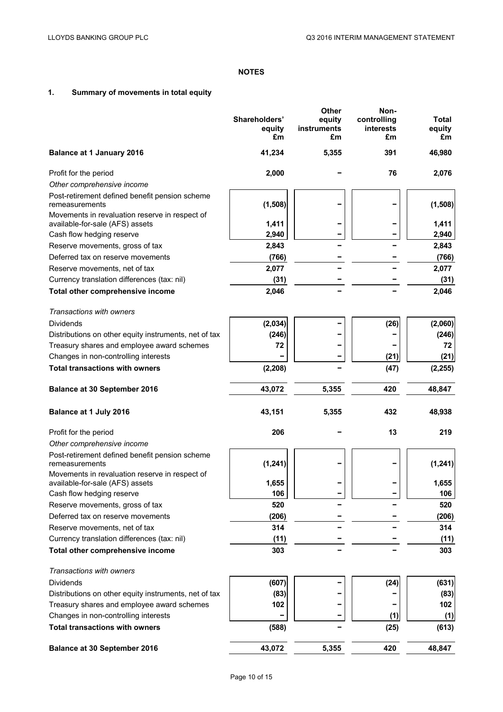# **NOTES**

# **1. Summary of movements in total equity**

|                                                                                   | Shareholders'<br>equity<br>£m | <b>Other</b><br>equity<br>instruments<br>£m | Non-<br>controlling<br>interests<br>£m | <b>Total</b><br>equity<br>£m |
|-----------------------------------------------------------------------------------|-------------------------------|---------------------------------------------|----------------------------------------|------------------------------|
| <b>Balance at 1 January 2016</b>                                                  | 41,234                        | 5,355                                       | 391                                    | 46,980                       |
| Profit for the period                                                             | 2,000                         |                                             | 76                                     | 2,076                        |
| Other comprehensive income                                                        |                               |                                             |                                        |                              |
| Post-retirement defined benefit pension scheme<br>remeasurements                  | (1,508)                       |                                             |                                        | (1,508)                      |
| Movements in revaluation reserve in respect of<br>available-for-sale (AFS) assets | 1,411                         |                                             |                                        | 1,411                        |
| Cash flow hedging reserve                                                         | 2,940                         |                                             |                                        | 2,940                        |
| Reserve movements, gross of tax                                                   | 2,843                         |                                             |                                        | 2,843                        |
| Deferred tax on reserve movements                                                 | (766)                         |                                             |                                        | (766)                        |
| Reserve movements, net of tax                                                     | 2,077                         |                                             |                                        | 2,077                        |
| Currency translation differences (tax: nil)                                       | (31)                          |                                             |                                        | (31)                         |
| Total other comprehensive income                                                  | 2,046                         |                                             |                                        | 2,046                        |
| Transactions with owners                                                          |                               |                                             |                                        |                              |
| <b>Dividends</b>                                                                  | (2,034)                       |                                             | (26)                                   | (2,060)                      |
| Distributions on other equity instruments, net of tax                             | (246)                         |                                             |                                        | (246)                        |
| Treasury shares and employee award schemes                                        | 72                            |                                             |                                        | 72                           |
| Changes in non-controlling interests                                              |                               |                                             | (21)                                   | (21)                         |
| <b>Total transactions with owners</b>                                             | (2, 208)                      |                                             | (47)                                   | (2, 255)                     |
| <b>Balance at 30 September 2016</b>                                               | 43,072                        | 5,355                                       | 420                                    | 48,847                       |
| Balance at 1 July 2016                                                            | 43,151                        | 5,355                                       | 432                                    | 48,938                       |
| Profit for the period                                                             | 206                           |                                             | 13                                     | 219                          |
| Other comprehensive income                                                        |                               |                                             |                                        |                              |
| Post-retirement defined benefit pension scheme<br>remeasurements                  | (1, 241)                      |                                             |                                        | (1, 241)                     |
| Movements in revaluation reserve in respect of<br>available-for-sale (AFS) assets | 1,655                         |                                             |                                        | 1,655                        |
| Cash flow hedging reserve                                                         | 106                           |                                             |                                        | 106                          |
| Reserve movements, gross of tax                                                   | 520                           |                                             |                                        | 520                          |
|                                                                                   |                               |                                             |                                        |                              |
| Deferred tax on reserve movements                                                 | (206)                         |                                             |                                        | (206)                        |
| Reserve movements, net of tax                                                     | 314                           |                                             |                                        | 314                          |
| Currency translation differences (tax: nil)                                       | (11)                          |                                             |                                        | (11)                         |
| Total other comprehensive income                                                  | 303                           |                                             |                                        | 303                          |
| Transactions with owners                                                          |                               |                                             |                                        |                              |
| <b>Dividends</b>                                                                  | (607)                         |                                             | (24)                                   | (631)                        |
| Distributions on other equity instruments, net of tax                             | (83)                          |                                             |                                        | (83)                         |
| Treasury shares and employee award schemes                                        | 102                           |                                             |                                        | 102                          |
| Changes in non-controlling interests                                              |                               |                                             | (1)                                    | (1)                          |
| <b>Total transactions with owners</b>                                             | (588)                         |                                             | (25)                                   | (613)                        |
| Balance at 30 September 2016                                                      | 43,072                        | 5,355                                       | 420                                    | 48,847                       |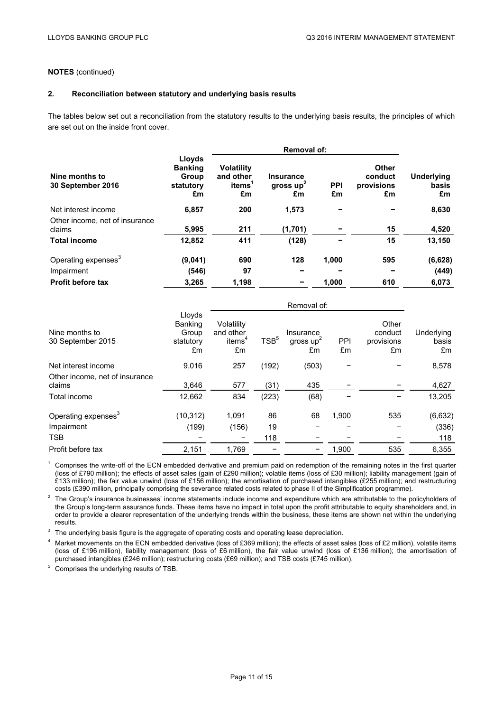#### **2. Reconciliation between statutory and underlying basis results**

The tables below set out a reconciliation from the statutory results to the underlying basis results, the principles of which are set out on the inside front cover.

| Nine months to<br>30 September 2016           | Lloyds<br><b>Banking</b><br>Group<br>statutory<br>£m | <b>Volatility</b><br>and other<br><i>items</i><br>£m | Insurance<br>gross $up^2$<br>£m | <b>PPI</b><br>£m | <b>Other</b><br>conduct<br>provisions<br>£m | <b>Underlying</b><br>basis<br>£m |
|-----------------------------------------------|------------------------------------------------------|------------------------------------------------------|---------------------------------|------------------|---------------------------------------------|----------------------------------|
| Net interest income                           | 6,857                                                | 200                                                  | 1,573                           |                  |                                             | 8,630                            |
| Other income, net of insurance<br>claims      | 5,995                                                | 211                                                  | (1.701)                         |                  | 15                                          | 4,520                            |
| <b>Total income</b>                           | 12,852                                               | 411                                                  | (128)                           |                  | 15                                          | 13,150                           |
| Operating expenses <sup>3</sup><br>Impairment | (9,041)<br>(546)                                     | 690<br>97                                            | 128                             | 1,000            | 595                                         | (6,628)<br>(449)                 |
| <b>Profit before tax</b>                      | 3,265                                                | 1,198                                                |                                 | 1,000            | 610                                         | 6,073                            |

|                                          |                                                      | Removal of:                                         |                  |                                          |           |                                      |                           |
|------------------------------------------|------------------------------------------------------|-----------------------------------------------------|------------------|------------------------------------------|-----------|--------------------------------------|---------------------------|
| Nine months to<br>30 September 2015      | Lloyds<br><b>Banking</b><br>Group<br>statutory<br>£m | Volatility<br>and other<br>items <sup>4</sup><br>£m | TSB <sup>5</sup> | Insurance<br>qross up <sup>2</sup><br>£m | PPI<br>£m | Other<br>conduct<br>provisions<br>£m | Underlying<br>basis<br>£m |
| Net interest income                      | 9,016                                                | 257                                                 | (192)            | (503)                                    |           |                                      | 8,578                     |
| Other income, net of insurance<br>claims | 3,646                                                | 577                                                 | (31)             | 435                                      |           |                                      | 4,627                     |
| Total income                             | 12,662                                               | 834                                                 | (223)            | (68)                                     |           |                                      | 13,205                    |
| Operating expenses <sup>3</sup>          | (10, 312)                                            | 1,091                                               | 86               | 68                                       | 1,900     | 535                                  | (6,632)                   |
| Impairment                               | (199)                                                | (156)                                               | 19               |                                          |           |                                      | (336)                     |
| <b>TSB</b>                               |                                                      |                                                     | 118              |                                          |           |                                      | 118                       |
| Profit before tax                        | 2,151                                                | 1,769                                               |                  |                                          | 1,900     | 535                                  | 6,355                     |

<sup>1</sup> Comprises the write-off of the ECN embedded derivative and premium paid on redemption of the remaining notes in the first quarter (loss of £790 million); the effects of asset sales (gain of £290 million); volatile items (loss of £30 million); liability management (gain of £133 million); the fair value unwind (loss of £156 million); the amortisation of purchased intangibles (£255 million); and restructuring costs (£390 million, principally comprising the severance related costs related to phase II of the Simplification programme).

 $<sup>2</sup>$  The Group's insurance businesses' income statements include income and expenditure which are attributable to the policyholders of</sup> the Group's long-term assurance funds. These items have no impact in total upon the profit attributable to equity shareholders and, in order to provide a clearer representation of the underlying trends within the business, these items are shown net within the underlying results.

<sup>3</sup> The underlying basis figure is the aggregate of operating costs and operating lease depreciation.

<sup>4</sup> Market movements on the ECN embedded derivative (loss of £369 million); the effects of asset sales (loss of £2 million), volatile items (loss of £196 million), liability management (loss of £6 million), the fair value unwind (loss of £136 million); the amortisation of purchased intangibles (£246 million); restructuring costs (£69 million); and TSB costs (£745 million).

<sup>5</sup> Comprises the underlying results of TSB.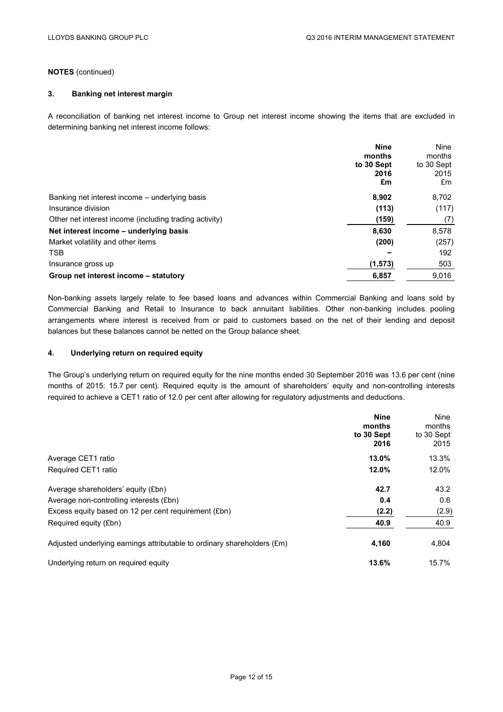#### **3. Banking net interest margin**

A reconciliation of banking net interest income to Group net interest income showing the items that are excluded in determining banking net interest income follows:

| <b>Nine</b><br>months<br>to 30 Sept<br>2016<br>£m               | Nine<br>months<br>to 30 Sept<br>2015<br>£m |
|-----------------------------------------------------------------|--------------------------------------------|
| Banking net interest income – underlying basis<br>8,902         | 8,702                                      |
| Insurance division<br>(113)                                     | (117)                                      |
| Other net interest income (including trading activity)<br>(159) | (7)                                        |
| 8,630<br>Net interest income – underlying basis                 | 8,578                                      |
| Market volatility and other items<br>(200)                      | (257)                                      |
| <b>TSB</b>                                                      | 192                                        |
| (1, 573)<br>Insurance gross up                                  | 503                                        |
| Group net interest income – statutory<br>6,857                  | 9,016                                      |

Non-banking assets largely relate to fee based loans and advances within Commercial Banking and loans sold by Commercial Banking and Retail to Insurance to back annuitant liabilities. Other non-banking includes pooling arrangements where interest is received from or paid to customers based on the net of their lending and deposit balances but these balances cannot be netted on the Group balance sheet.

#### **4. Underlying return on required equity**

The Group's underlying return on required equity for the nine months ended 30 September 2016 was 13.6 per cent (nine months of 2015: 15.7 per cent). Required equity is the amount of shareholders' equity and non-controlling interests required to achieve a CET1 ratio of 12.0 per cent after allowing for regulatory adjustments and deductions.

|                                                                         | <b>Nine</b><br>months<br>to 30 Sept<br>2016 | Nine<br>months<br>to 30 Sept<br>2015 |
|-------------------------------------------------------------------------|---------------------------------------------|--------------------------------------|
| Average CET1 ratio                                                      | 13.0%                                       | 13.3%                                |
| Required CET1 ratio                                                     | 12.0%                                       | 12.0%                                |
| Average shareholders' equity (£bn)                                      | 42.7                                        | 43.2                                 |
| Average non-controlling interests (£bn)                                 | 0.4                                         | 0.6                                  |
| Excess equity based on 12 per cent requirement (£bn)                    | (2.2)                                       | (2.9)                                |
| Required equity (£bn)                                                   | 40.9                                        | 40.9                                 |
| Adjusted underlying earnings attributable to ordinary shareholders (£m) | 4,160                                       | 4,804                                |
| Underlying return on required equity                                    | 13.6%                                       | 15.7%                                |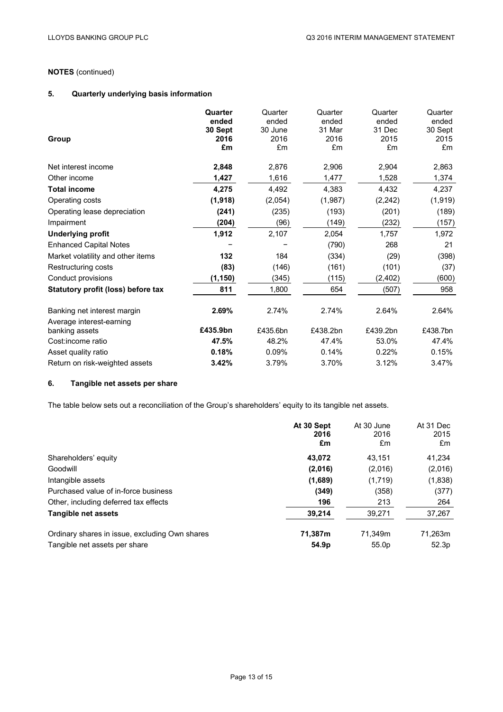# **5. Quarterly underlying basis information**

| Group                                      | Quarter<br>ended<br>30 Sept<br>2016<br>£m | Quarter<br>ended<br>30 June<br>2016<br>£m | Quarter<br>ended<br>31 Mar<br>2016<br>£m | Quarter<br>ended<br>31 Dec<br>2015<br>£m | Quarter<br>ended<br>30 Sept<br>2015<br>£m |
|--------------------------------------------|-------------------------------------------|-------------------------------------------|------------------------------------------|------------------------------------------|-------------------------------------------|
| Net interest income                        | 2,848                                     | 2,876                                     | 2,906                                    | 2,904                                    | 2,863                                     |
| Other income                               | 1,427                                     | 1,616                                     | 1,477                                    | 1,528                                    | 1,374                                     |
| <b>Total income</b>                        | 4,275                                     | 4,492                                     | 4,383                                    | 4,432                                    | 4,237                                     |
| Operating costs                            | (1,918)                                   | (2,054)                                   | (1,987)                                  | (2, 242)                                 | (1, 919)                                  |
| Operating lease depreciation               | (241)                                     | (235)                                     | (193)                                    | (201)                                    | (189)                                     |
| Impairment                                 | (204)                                     | (96)                                      | (149)                                    | (232)                                    | (157)                                     |
| <b>Underlying profit</b>                   | 1,912                                     | 2,107                                     | 2,054                                    | 1,757                                    | 1,972                                     |
| <b>Enhanced Capital Notes</b>              |                                           |                                           | (790)                                    | 268                                      | 21                                        |
| Market volatility and other items          | 132                                       | 184                                       | (334)                                    | (29)                                     | (398)                                     |
| Restructuring costs                        | (83)                                      | (146)                                     | (161)                                    | (101)                                    | (37)                                      |
| Conduct provisions                         | (1, 150)                                  | (345)                                     | (115)                                    | (2, 402)                                 | (600)                                     |
| Statutory profit (loss) before tax         | 811                                       | 1,800                                     | 654                                      | (507)                                    | 958                                       |
| Banking net interest margin                | 2.69%                                     | 2.74%                                     | 2.74%                                    | 2.64%                                    | 2.64%                                     |
| Average interest-earning<br>banking assets | £435.9bn                                  | £435.6bn                                  | £438.2bn                                 | £439.2bn                                 | £438.7bn                                  |
| Cost:income ratio                          | 47.5%                                     | 48.2%                                     | 47.4%                                    | 53.0%                                    | 47.4%                                     |
| Asset quality ratio                        | 0.18%                                     | 0.09%                                     | 0.14%                                    | 0.22%                                    | 0.15%                                     |
| Return on risk-weighted assets             | 3.42%                                     | 3.79%                                     | 3.70%                                    | 3.12%                                    | 3.47%                                     |

# **6. Tangible net assets per share**

The table below sets out a reconciliation of the Group's shareholders' equity to its tangible net assets.

|                                                | At 30 Sept<br>2016<br>£m | At 30 June<br>2016<br>£m | At 31 Dec<br>2015<br>£m |
|------------------------------------------------|--------------------------|--------------------------|-------------------------|
| Shareholders' equity                           | 43.072                   | 43.151                   | 41,234                  |
| Goodwill                                       | (2,016)                  | (2,016)                  | (2,016)                 |
| Intangible assets                              | (1,689)                  | (1,719)                  | (1,838)                 |
| Purchased value of in-force business           | (349)                    | (358)                    | (377)                   |
| Other, including deferred tax effects          | 196                      | 213                      | 264                     |
| Tangible net assets                            | 39,214                   | 39,271                   | 37,267                  |
| Ordinary shares in issue, excluding Own shares | 71,387m                  | 71.349m                  | 71.263m                 |
| Tangible net assets per share                  | 54.9 <sub>p</sub>        | 55.0 <sub>p</sub>        | 52.3p                   |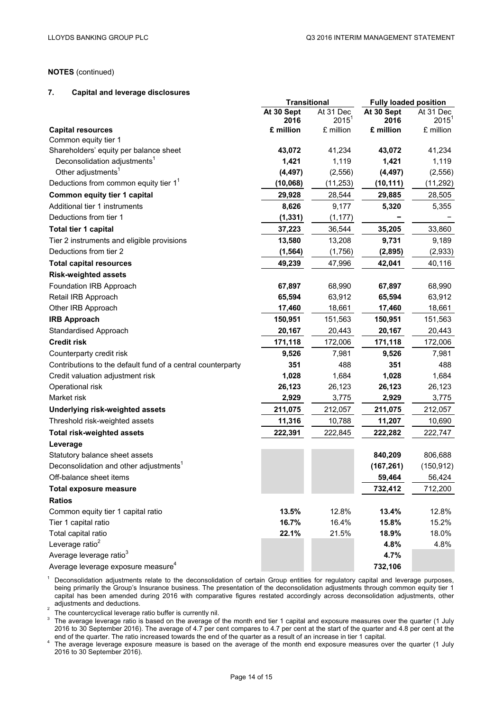#### **7. Capital and leverage disclosures**

|                                                             | <b>Transitional</b> |           | <b>Fully loaded position</b> |            |
|-------------------------------------------------------------|---------------------|-----------|------------------------------|------------|
|                                                             | At 30 Sept          | At 31 Dec | At 30 Sept                   | At 31 Dec  |
|                                                             | 2016                | $2015^1$  | 2016                         | $2015^1$   |
| <b>Capital resources</b><br>Common equity tier 1            | £ million           | £ million | £ million                    | £ million  |
| Shareholders' equity per balance sheet                      | 43,072              | 41,234    | 43,072                       | 41,234     |
| Deconsolidation adjustments <sup>1</sup>                    | 1,421               | 1,119     | 1,421                        | 1,119      |
| Other adjustments <sup>1</sup>                              | (4, 497)            | (2, 556)  | (4, 497)                     | (2, 556)   |
| Deductions from common equity tier $11$                     | (10, 068)           | (11, 253) | (10, 111)                    | (11, 292)  |
| Common equity tier 1 capital                                | 29,928              | 28,544    | 29,885                       | 28,505     |
| Additional tier 1 instruments                               | 8,626               | 9,177     | 5,320                        | 5,355      |
| Deductions from tier 1                                      | (1, 331)            | (1, 177)  |                              |            |
| Total tier 1 capital                                        | 37,223              | 36,544    | 35,205                       | 33,860     |
| Tier 2 instruments and eligible provisions                  | 13,580              | 13,208    | 9,731                        | 9,189      |
| Deductions from tier 2                                      | (1, 564)            | (1,756)   | (2,895)                      | (2,933)    |
| <b>Total capital resources</b>                              | 49,239              | 47,996    | 42,041                       | 40,116     |
| <b>Risk-weighted assets</b>                                 |                     |           |                              |            |
| Foundation IRB Approach                                     | 67,897              | 68,990    | 67,897                       | 68,990     |
| Retail IRB Approach                                         | 65,594              | 63,912    | 65,594                       | 63,912     |
| Other IRB Approach                                          | 17,460              | 18,661    | 17,460                       | 18,661     |
| <b>IRB Approach</b>                                         | 150,951             | 151,563   | 150,951                      | 151,563    |
| Standardised Approach                                       | 20,167              | 20,443    | 20,167                       | 20,443     |
| <b>Credit risk</b>                                          | 171,118             | 172,006   | 171,118                      | 172,006    |
| Counterparty credit risk                                    | 9,526               | 7,981     | 9,526                        | 7,981      |
| Contributions to the default fund of a central counterparty | 351                 | 488       | 351                          | 488        |
| Credit valuation adjustment risk                            | 1,028               | 1,684     | 1,028                        | 1,684      |
| Operational risk                                            | 26,123              | 26,123    | 26,123                       | 26,123     |
| Market risk                                                 | 2,929               | 3,775     | 2,929                        | 3,775      |
| Underlying risk-weighted assets                             | 211,075             | 212,057   | 211,075                      | 212,057    |
| Threshold risk-weighted assets                              | 11,316              | 10,788    | 11,207                       | 10,690     |
| <b>Total risk-weighted assets</b>                           | 222,391             | 222,845   | 222,282                      | 222,747    |
| Leverage                                                    |                     |           |                              |            |
| Statutory balance sheet assets                              |                     |           | 840,209                      | 806,688    |
| Deconsolidation and other adjustments <sup>1</sup>          |                     |           | (167, 261)                   | (150, 912) |
| Off-balance sheet items                                     |                     |           | 59,464                       | 56,424     |
| <b>Total exposure measure</b>                               |                     |           | 732,412                      | 712,200    |
| <b>Ratios</b>                                               |                     |           |                              |            |
| Common equity tier 1 capital ratio                          | 13.5%               | 12.8%     | 13.4%                        | 12.8%      |
| Tier 1 capital ratio                                        | 16.7%               | 16.4%     | 15.8%                        | 15.2%      |
| Total capital ratio                                         | 22.1%               | 21.5%     | 18.9%                        | 18.0%      |
| Leverage ratio <sup>2</sup>                                 |                     |           | 4.8%                         | 4.8%       |
| Average leverage ratio <sup>3</sup>                         |                     |           | 4.7%                         |            |
| Average leverage exposure measure <sup>4</sup>              |                     |           | 732,106                      |            |

<sup>1</sup> Deconsolidation adjustments relate to the deconsolidation of certain Group entities for regulatory capital and leverage purposes, being primarily the Group's Insurance business. The presentation of the deconsolidation adjustments through common equity tier 1 capital has been amended during 2016 with comparative figures restated accordingly across deconsolidation adjustments, other adjustments and deductions.<br><sup>2</sup> The countercyclical leverage ratio buffer is currently nil.

The countercyclical leverage ratio is based on the average of the month end tier 1 capital and exposure measures over the quarter (1 July 2016 to 30 September 2016). The average of 4.7 per cent compares to 4.7 per cent at the start of the quarter and 4.8 per cent at the end of the quarter. The ratio increased towards the end of the quarter as a result of an

end or the quarter. The ratio interested towards the end or the quarter as a result or an increase in the exposure.<br>The average leverage exposure measure is based on the average of the month end exposure measures over the 2016 to 30 September 2016).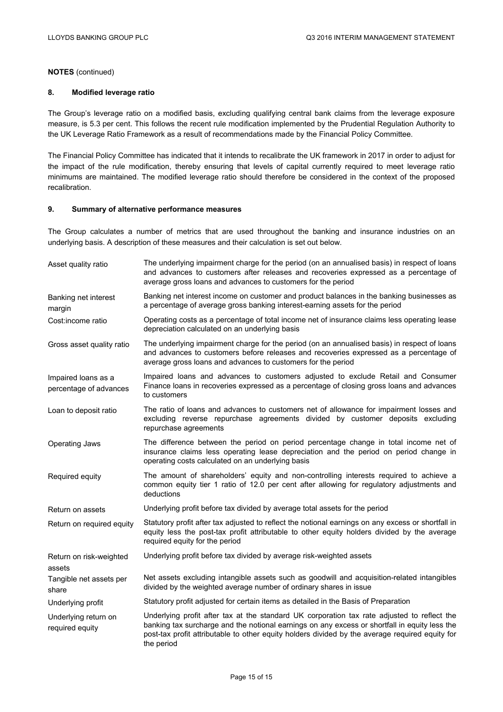#### **8. Modified leverage ratio**

The Group's leverage ratio on a modified basis, excluding qualifying central bank claims from the leverage exposure measure, is 5.3 per cent. This follows the recent rule modification implemented by the Prudential Regulation Authority to the UK Leverage Ratio Framework as a result of recommendations made by the Financial Policy Committee.

The Financial Policy Committee has indicated that it intends to recalibrate the UK framework in 2017 in order to adjust for the impact of the rule modification, thereby ensuring that levels of capital currently required to meet leverage ratio minimums are maintained. The modified leverage ratio should therefore be considered in the context of the proposed recalibration.

#### **9. Summary of alternative performance measures**

The Group calculates a number of metrics that are used throughout the banking and insurance industries on an underlying basis. A description of these measures and their calculation is set out below.

| Asset quality ratio                           | The underlying impairment charge for the period (on an annualised basis) in respect of loans<br>and advances to customers after releases and recoveries expressed as a percentage of<br>average gross loans and advances to customers for the period                                                          |
|-----------------------------------------------|---------------------------------------------------------------------------------------------------------------------------------------------------------------------------------------------------------------------------------------------------------------------------------------------------------------|
| Banking net interest<br>margin                | Banking net interest income on customer and product balances in the banking businesses as<br>a percentage of average gross banking interest-earning assets for the period                                                                                                                                     |
| Cost:income ratio                             | Operating costs as a percentage of total income net of insurance claims less operating lease<br>depreciation calculated on an underlying basis                                                                                                                                                                |
| Gross asset quality ratio                     | The underlying impairment charge for the period (on an annualised basis) in respect of loans<br>and advances to customers before releases and recoveries expressed as a percentage of<br>average gross loans and advances to customers for the period                                                         |
| Impaired loans as a<br>percentage of advances | Impaired loans and advances to customers adjusted to exclude Retail and Consumer<br>Finance loans in recoveries expressed as a percentage of closing gross loans and advances<br>to customers                                                                                                                 |
| Loan to deposit ratio                         | The ratio of loans and advances to customers net of allowance for impairment losses and<br>excluding reverse repurchase agreements divided by customer deposits excluding<br>repurchase agreements                                                                                                            |
| Operating Jaws                                | The difference between the period on period percentage change in total income net of<br>insurance claims less operating lease depreciation and the period on period change in<br>operating costs calculated on an underlying basis                                                                            |
| Required equity                               | The amount of shareholders' equity and non-controlling interests required to achieve a<br>common equity tier 1 ratio of 12.0 per cent after allowing for regulatory adjustments and<br>deductions                                                                                                             |
| Return on assets                              | Underlying profit before tax divided by average total assets for the period                                                                                                                                                                                                                                   |
| Return on required equity                     | Statutory profit after tax adjusted to reflect the notional earnings on any excess or shortfall in<br>equity less the post-tax profit attributable to other equity holders divided by the average<br>required equity for the period                                                                           |
| Return on risk-weighted<br>assets             | Underlying profit before tax divided by average risk-weighted assets                                                                                                                                                                                                                                          |
| Tangible net assets per<br>share              | Net assets excluding intangible assets such as goodwill and acquisition-related intangibles<br>divided by the weighted average number of ordinary shares in issue                                                                                                                                             |
| Underlying profit                             | Statutory profit adjusted for certain items as detailed in the Basis of Preparation                                                                                                                                                                                                                           |
| Underlying return on<br>required equity       | Underlying profit after tax at the standard UK corporation tax rate adjusted to reflect the<br>banking tax surcharge and the notional earnings on any excess or shortfall in equity less the<br>post-tax profit attributable to other equity holders divided by the average required equity for<br>the period |